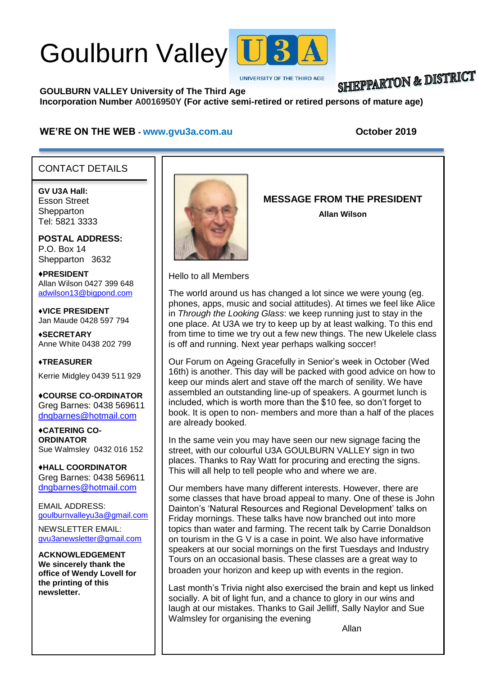# Goulburn Valley U3



**UNIVERSITY OF THE THIRD AGE** 

#### **SHIEPPARTON & DISTRICT GOULBURN VALLEY University of The Third Age Incorporation Number A0016950Y (For active semi-retired or retired persons of mature age)**

#### WE'RE ON THE WEB - [www.gvu3a.com.au](http://www.gvu3a.com.au/) **bluesses October** 2019

#### CONTACT DETAILS

**GV U3A Hall:** Esson Street **Shepparton** Tel: 5821 3333

**POSTAL ADDRESS:** P.O. Box 14 Shepparton 3632

♦**PRESIDENT** Allan Wilson 0427 399 648 [adwilson13@bigpond.com](mailto:adwilson13@bigpond.com)

♦**VICE PRESIDENT** Jan Maude 0428 597 794

**♦SECRETARY** Anne White 0438 202 799

**♦TREASURER** Kerrie Midgley 0439 511 929

♦**COURSE CO-ORDINATOR** Greg Barnes: 0438 569611 [dngbarnes@hotmail.com](mailto:dngbarnes@hotmail.com)

♦**CATERING CO-ORDINATOR** Sue Walmsley 0432 016 152

♦**HALL COORDINATOR** Greg Barnes: 0438 569611 [dngbarnes@hotmail.com](mailto:dngbarnes@hotmail.com)

EMAIL ADDRESS: [goulburnvalleyu3a@gmail.com](mailto:goulburnvalleyu3a@gmail.com)

NEWSLETTER EMAIL: [gvu3anewsletter@gmail.com](mailto:gvu3anewsletter@gmail.com)

**ACKNOWLEDGEMENT We sincerely thank the office of Wendy Lovell for the printing of this newsletter.**



**MESSAGE FROM THE PRESIDENT**

**Allan Wilson**

Hello to all Members

The world around us has changed a lot since we were young (eg. phones, apps, music and social attitudes). At times we feel like Alice in *Through the Looking Glass*: we keep running just to stay in the one place. At U3A we try to keep up by at least walking. To this end from time to time we try out a few new things. The new Ukelele class is off and running. Next year perhaps walking soccer!

Our Forum on Ageing Gracefully in Senior's week in October (Wed 16th) is another. This day will be packed with good advice on how to keep our minds alert and stave off the march of senility. We have assembled an outstanding line-up of speakers. A gourmet lunch is included, which is worth more than the \$10 fee, so don't forget to book. It is open to non- members and more than a half of the places are already booked.

In the same vein you may have seen our new signage facing the street, with our colourful U3A GOULBURN VALLEY sign in two places. Thanks to Ray Watt for procuring and erecting the signs. This will all help to tell people who and where we are.

Our members have many different interests. However, there are some classes that have broad appeal to many. One of these is John Dainton's 'Natural Resources and Regional Development' talks on Friday mornings. These talks have now branched out into more topics than water and farming. The recent talk by Carrie Donaldson on tourism in the G V is a case in point. We also have informative speakers at our social mornings on the first Tuesdays and Industry Tours on an occasional basis. These classes are a great way to broaden your horizon and keep up with events in the region.

Last month's Trivia night also exercised the brain and kept us linked socially. A bit of light fun, and a chance to glory in our wins and laugh at our mistakes. Thanks to Gail Jelliff, Sally Naylor and Sue Walmsley for organising the evening

Allan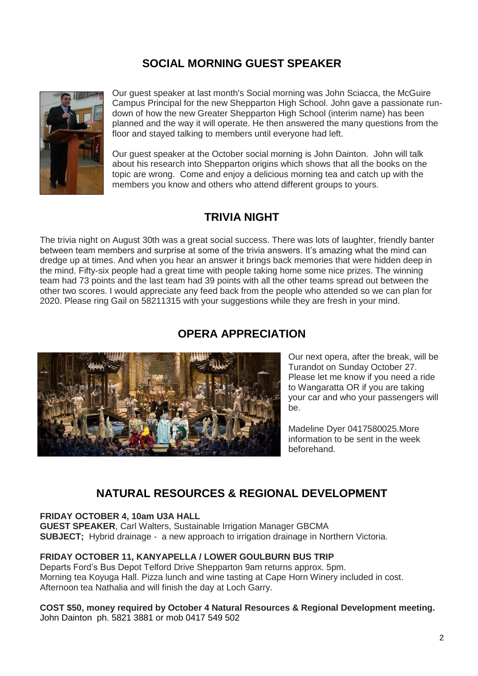# **SOCIAL MORNING GUEST SPEAKER**



Our guest speaker at last month's Social morning was John Sciacca, the McGuire Campus Principal for the new Shepparton High School. John gave a passionate rundown of how the new Greater Shepparton High School (interim name) has been planned and the way it will operate. He then answered the many questions from the floor and stayed talking to members until everyone had left.

Our guest speaker at the October social morning is John Dainton. John will talk about his research into Shepparton origins which shows that all the books on the topic are wrong. Come and enjoy a delicious morning tea and catch up with the members you know and others who attend different groups to yours.

# **TRIVIA NIGHT**

The trivia night on August 30th was a great social success. There was lots of laughter, friendly banter between team members and surprise at some of the trivia answers. It's amazing what the mind can dredge up at times. And when you hear an answer it brings back memories that were hidden deep in the mind. Fifty-six people had a great time with people taking home some nice prizes. The winning team had 73 points and the last team had 39 points with all the other teams spread out between the other two scores. I would appreciate any feed back from the people who attended so we can plan for 2020. Please ring Gail on 58211315 with your suggestions while they are fresh in your mind.

### **OPERA APPRECIATION**



Our next opera, after the break, will be Turandot on Sunday October 27. Please let me know if you need a ride to Wangaratta OR if you are taking your car and who your passengers will be.

Madeline Dyer 0417580025.More information to be sent in the week beforehand.

# **NATURAL RESOURCES & REGIONAL DEVELOPMENT**

#### **FRIDAY OCTOBER 4, 10am U3A HALL**

**GUEST SPEAKER**, Carl Walters, Sustainable Irrigation Manager GBCMA **SUBJECT;** Hybrid drainage - a new approach to irrigation drainage in Northern Victoria.

#### **FRIDAY OCTOBER 11, KANYAPELLA / LOWER GOULBURN BUS TRIP**

Departs Ford's Bus Depot Telford Drive Shepparton 9am returns approx. 5pm. Morning tea Koyuga Hall. Pizza lunch and wine tasting at Cape Horn Winery included in cost. Afternoon tea Nathalia and will finish the day at Loch Garry.

#### **COST \$50, money required by October 4 Natural Resources & Regional Development meeting.** John Dainton ph. 5821 3881 or mob 0417 549 502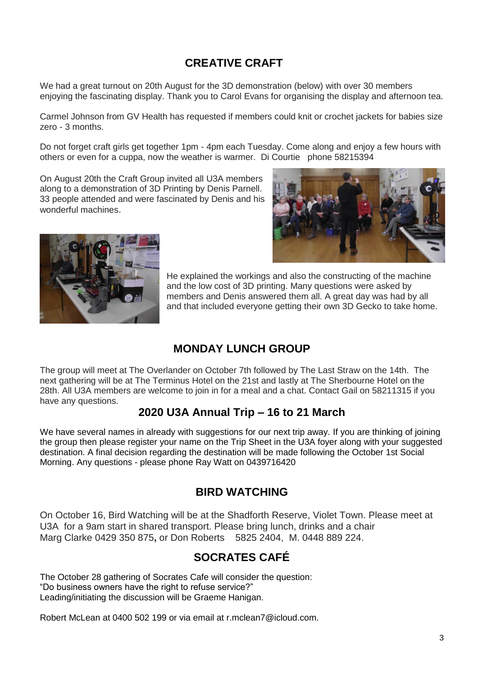# **CREATIVE CRAFT**

We had a great turnout on 20th August for the 3D demonstration (below) with over 30 members enjoying the fascinating display. Thank you to Carol Evans for organising the display and afternoon tea.

Carmel Johnson from GV Health has requested if members could knit or crochet jackets for babies size zero - 3 months.

Do not forget craft girls get together 1pm - 4pm each Tuesday. Come along and enjoy a few hours with others or even for a cuppa, now the weather is warmer. Di Courtie phone 58215394

On August 20th the Craft Group invited all U3A members along to a demonstration of 3D Printing by Denis Parnell. 33 people attended and were fascinated by Denis and his wonderful machines.





He explained the workings and also the constructing of the machine and the low cost of 3D printing. Many questions were asked by members and Denis answered them all. A great day was had by all and that included everyone getting their own 3D Gecko to take home.

# **MONDAY LUNCH GROUP**

The group will meet at The Overlander on October 7th followed by The Last Straw on the 14th. The next gathering will be at The Terminus Hotel on the 21st and lastly at The Sherbourne Hotel on the 28th. All U3A members are welcome to join in for a meal and a chat. Contact Gail on 58211315 if you have any questions.

# **2020 U3A Annual Trip – 16 to 21 March**

We have several names in already with suggestions for our next trip away. If you are thinking of joining the group then please register your name on the Trip Sheet in the U3A foyer along with your suggested destination. A final decision regarding the destination will be made following the October 1st Social Morning. Any questions - please phone Ray Watt on 0439716420

# **BIRD WATCHING**

On October 16, Bird Watching will be at the Shadforth Reserve, Violet Town. Please meet at U3A for a 9am start in shared transport. Please bring lunch, drinks and a chair Marg Clarke 0429 350 875**,** or Don Roberts 5825 2404, M. 0448 889 224.

# **SOCRATES CAFÉ**

The October 28 gathering of Socrates Cafe will consider the question: "Do business owners have the right to refuse service?" Leading/initiating the discussion will be Graeme Hanigan.

Robert McLean at 0400 502 199 or via email at [r.mclean7@icloud.com.](mailto:r.mclean7@icloud.com)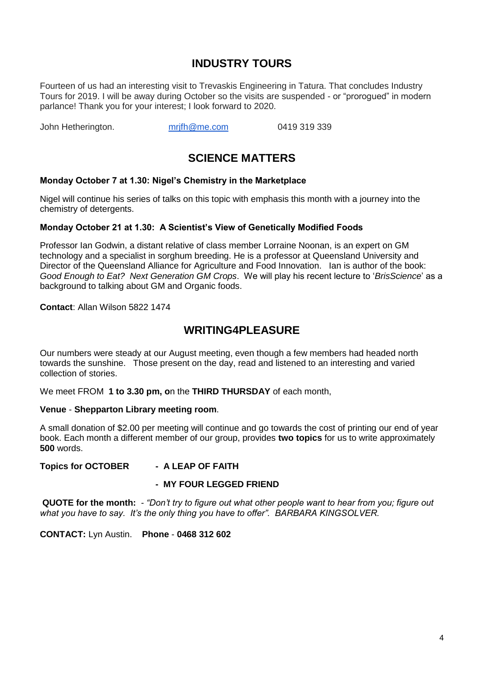### **INDUSTRY TOURS**

Fourteen of us had an interesting visit to Trevaskis Engineering in Tatura. That concludes Industry Tours for 2019. I will be away during October so the visits are suspended - or "prorogued" in modern parlance! Thank you for your interest; I look forward to 2020.

John Hetherington. mrifh@me.com 0419 319 339

# **SCIENCE MATTERS**

#### **Monday October 7 at 1.30: Nigel's Chemistry in the Marketplace**

Nigel will continue his series of talks on this topic with emphasis this month with a journey into the chemistry of detergents.

#### **Monday October 21 at 1.30: A Scientist's View of Genetically Modified Foods**

Professor Ian Godwin, a distant relative of class member Lorraine Noonan, is an expert on GM technology and a specialist in sorghum breeding. He is a professor at Queensland University and Director of the Queensland Alliance for Agriculture and Food Innovation. Ian is author of the book: *Good Enough to Eat? Next Generation GM Crops*. We will play his recent lecture to '*BrisScience*' as a background to talking about GM and Organic foods.

**Contact**: Allan Wilson 5822 1474

#### **WRITING4PLEASURE**

Our numbers were steady at our August meeting, even though a few members had headed north towards the sunshine. Those present on the day, read and listened to an interesting and varied collection of stories.

We meet FROM **1 to 3.30 pm, o**n the **THIRD THURSDAY** of each month,

#### **Venue** - **Shepparton Library meeting room**.

A small donation of \$2.00 per meeting will continue and go towards the cost of printing our end of year book. Each month a different member of our group, provides **two topics** for us to write approximately **500** words.

#### **Topics for OCTOBER - A LEAP OF FAITH**

#### **- MY FOUR LEGGED FRIEND**

**QUOTE for the month:** *- "Don't try to figure out what other people want to hear from you; figure out what you have to say. It's the only thing you have to offer". BARBARA KINGSOLVER.* 

**CONTACT:** Lyn Austin. **Phone** - **0468 312 602**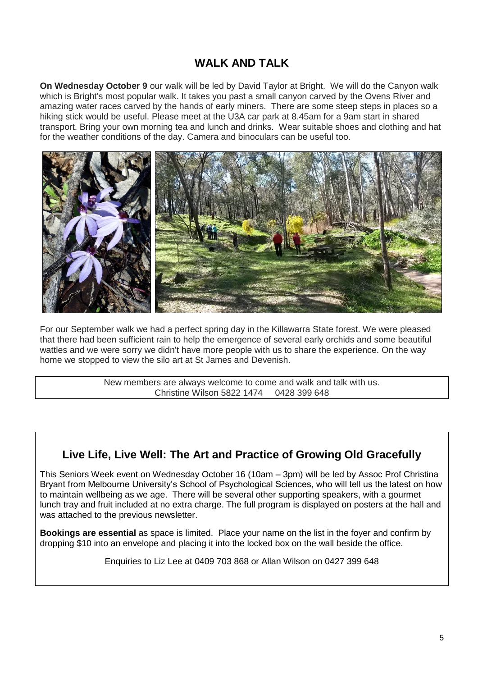# **WALK AND TALK**

**On Wednesday October 9** our walk will be led by David Taylor at Bright. We will do the Canyon walk which is Bright's most popular walk. It takes you past a small canyon carved by the Ovens River and amazing water races carved by the hands of early miners. There are some steep steps in places so a hiking stick would be useful. Please meet at the U3A car park at 8.45am for a 9am start in shared transport. Bring your own morning tea and lunch and drinks. Wear suitable shoes and clothing and hat for the weather conditions of the day. Camera and binoculars can be useful too.



For our September walk we had a perfect spring day in the Killawarra State forest. We were pleased that there had been sufficient rain to help the emergence of several early orchids and some beautiful wattles and we were sorry we didn't have more people with us to share the experience. On the way home we stopped to view the silo art at St James and Devenish.

> New members are always welcome to come and walk and talk with us. Christine Wilson 5822 1474 0428 399 648

# **Live Life, Live Well: The Art and Practice of Growing Old Gracefully**

This Seniors Week event on Wednesday October 16 (10am – 3pm) will be led by Assoc Prof Christina Bryant from Melbourne University's School of Psychological Sciences, who will tell us the latest on how to maintain wellbeing as we age. There will be several other supporting speakers, with a gourmet lunch tray and fruit included at no extra charge. The full program is displayed on posters at the hall and was attached to the previous newsletter.

**Bookings are essential** as space is limited. Place your name on the list in the foyer and confirm by dropping \$10 into an envelope and placing it into the locked box on the wall beside the office.

Enquiries to Liz Lee at 0409 703 868 or Allan Wilson on 0427 399 648